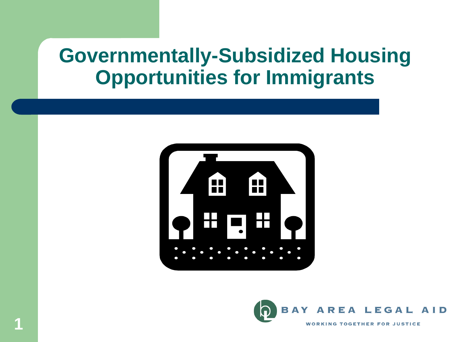### **Governmentally-Subsidized Housing Opportunities for Immigrants**



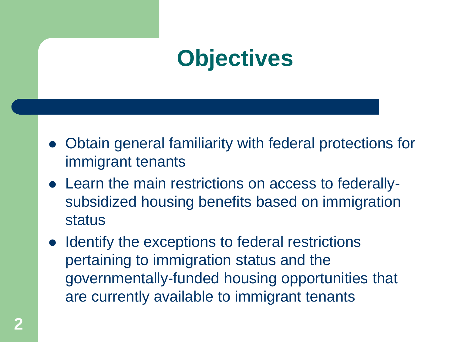## **Objectives**

- ⚫ Obtain general familiarity with federal protections for immigrant tenants
- ⚫ Learn the main restrictions on access to federallysubsidized housing benefits based on immigration status
- ⚫ Identify the exceptions to federal restrictions pertaining to immigration status and the governmentally-funded housing opportunities that are currently available to immigrant tenants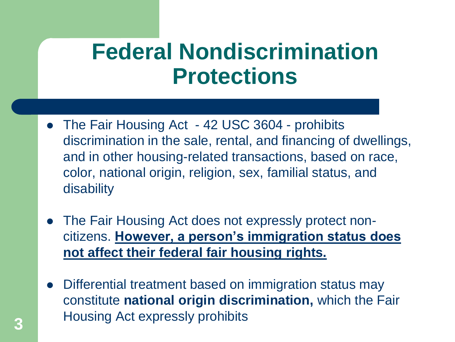### **Federal Nondiscrimination Protections**

- The Fair Housing Act 42 USC 3604 prohibits discrimination in the sale, rental, and financing of dwellings, and in other housing-related transactions, based on race, color, national origin, religion, sex, familial status, and disability
- ⚫ The Fair Housing Act does not expressly protect noncitizens. **However, a person's immigration status does not affect their federal fair housing rights.**
- ⚫ Differential treatment based on immigration status may constitute **national origin discrimination,** which the Fair Housing Act expressly prohibits **3**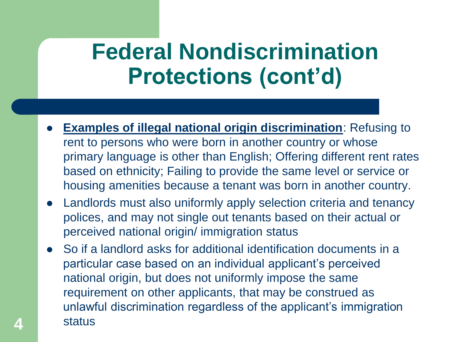## **Federal Nondiscrimination Protections (cont'd)**

- **Examples of illegal national origin discrimination:** Refusing to rent to persons who were born in another country or whose primary language is other than English; Offering different rent rates based on ethnicity; Failing to provide the same level or service or housing amenities because a tenant was born in another country.
- ⚫ Landlords must also uniformly apply selection criteria and tenancy polices, and may not single out tenants based on their actual or perceived national origin/ immigration status
- ⚫ So if a landlord asks for additional identification documents in a particular case based on an individual applicant's perceived national origin, but does not uniformly impose the same requirement on other applicants, that may be construed as unlawful discrimination regardless of the applicant's immigration **4** status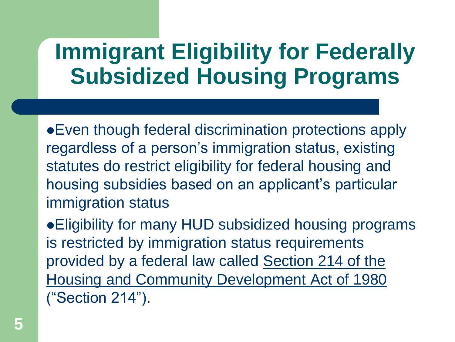## **Immigrant Eligibility for Federally Subsidized Housing Programs**

⚫Even though federal discrimination protections apply regardless of a person's immigration status, existing statutes do restrict eligibility for federal housing and housing subsidies based on an applicant's particular immigration status

⚫Eligibility for many HUD subsidized housing programs is restricted by immigration status requirements provided by a federal law called Section 214 of the Housing and Community Development Act of 1980 ("Section 214").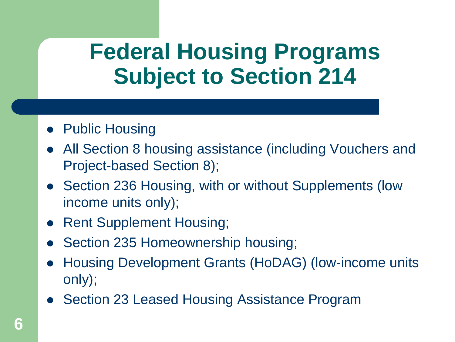### **Federal Housing Programs Subject to Section 214**

- Public Housing
- ⚫ All Section 8 housing assistance (including Vouchers and Project-based Section 8);
- Section 236 Housing, with or without Supplements (low income units only);
- ⚫ Rent Supplement Housing;
- Section 235 Homeownership housing;
- ⚫ Housing Development Grants (HoDAG) (low-income units only);
- Section 23 Leased Housing Assistance Program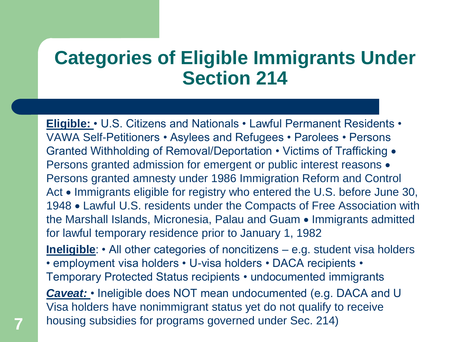### **Categories of Eligible Immigrants Under Section 214**

**Eligible:** • U.S. Citizens and Nationals • Lawful Permanent Residents • VAWA Self-Petitioners • Asylees and Refugees • Parolees • Persons Granted Withholding of Removal/Deportation • Victims of Trafficking • Persons granted admission for emergent or public interest reasons • Persons granted amnesty under 1986 Immigration Reform and Control Act • Immigrants eligible for registry who entered the U.S. before June 30, 1948 • Lawful U.S. residents under the Compacts of Free Association with the Marshall Islands, Micronesia, Palau and Guam • Immigrants admitted for lawful temporary residence prior to January 1, 1982 **Ineligible:** • All other categories of noncitizens – e.g. student visa holders • employment visa holders • U-visa holders • DACA recipients • Temporary Protected Status recipients • undocumented immigrants *Caveat:* • Ineligible does NOT mean undocumented (e.g. DACA and U Visa holders have nonimmigrant status yet do not qualify to receive housing subsidies for programs governed under Sec. 214) **7**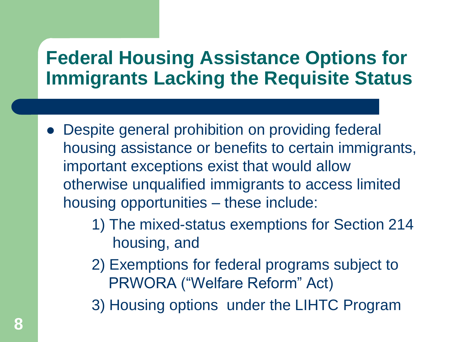### **Federal Housing Assistance Options for Immigrants Lacking the Requisite Status**

- Despite general prohibition on providing federal housing assistance or benefits to certain immigrants, important exceptions exist that would allow otherwise unqualified immigrants to access limited housing opportunities – these include:
	- 1) The mixed-status exemptions for Section 214 housing, and
	- 2) Exemptions for federal programs subject to PRWORA ("Welfare Reform" Act)
	- 3) Housing options under the LIHTC Program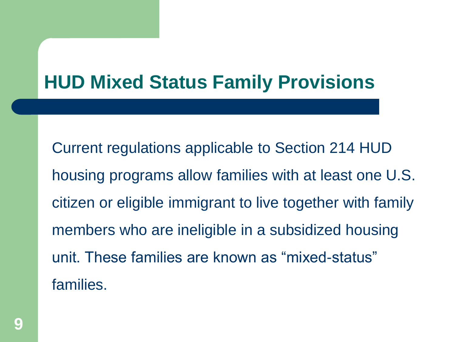### **HUD Mixed Status Family Provisions**

Current regulations applicable to Section 214 HUD housing programs allow families with at least one U.S. citizen or eligible immigrant to live together with family members who are ineligible in a subsidized housing unit. These families are known as "mixed-status" families.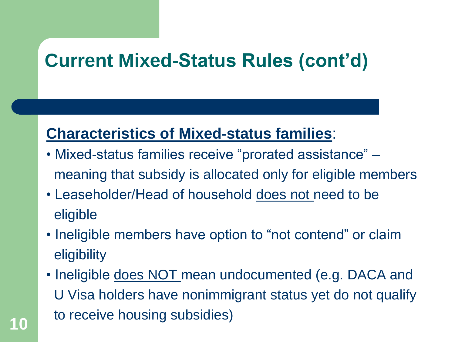### **Current Mixed-Status Rules (cont'd)**

#### **Characteristics of Mixed-status families**:

- Mixed-status families receive "prorated assistance" meaning that subsidy is allocated only for eligible members
- Leaseholder/Head of household does not need to be eligible
- Ineligible members have option to "not contend" or claim **eligibility**
- Ineligible does NOT mean undocumented (e.g. DACA and U Visa holders have nonimmigrant status yet do not qualify to receive housing subsidies)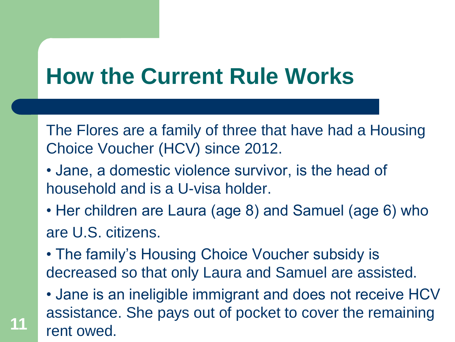## **How the Current Rule Works**

The Flores are a family of three that have had a Housing Choice Voucher (HCV) since 2012.

- Jane, a domestic violence survivor, is the head of household and is a U-visa holder.
- Her children are Laura (age 8) and Samuel (age 6) who are U.S. citizens.
- The family's Housing Choice Voucher subsidy is decreased so that only Laura and Samuel are assisted.
- Jane is an ineligible immigrant and does not receive HCV assistance. She pays out of pocket to cover the remaining rent owed.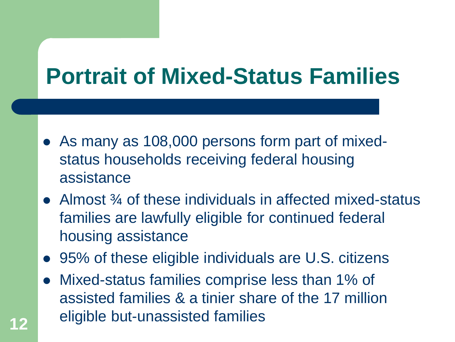## **Portrait of Mixed-Status Families**

- As many as 108,000 persons form part of mixedstatus households receiving federal housing assistance
- Almost <sup>3</sup>/4 of these individuals in affected mixed-status families are lawfully eligible for continued federal housing assistance
- 95% of these eligible individuals are U.S. citizens
- ⚫ Mixed-status families comprise less than 1% of assisted families & a tinier share of the 17 million eligible but-unassisted families **<sup>12</sup>**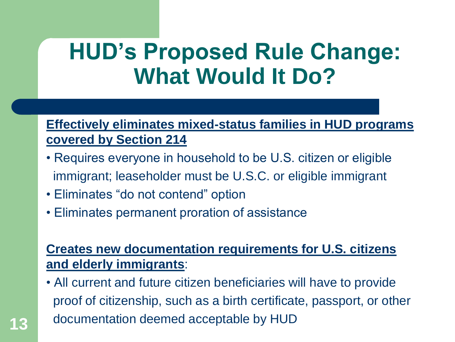## **HUD's Proposed Rule Change: What Would It Do?**

#### **Effectively eliminates mixed-status families in HUD programs covered by Section 214**

- Requires everyone in household to be U.S. citizen or eligible immigrant; leaseholder must be U.S.C. or eligible immigrant
- Eliminates "do not contend" option
- Eliminates permanent proration of assistance

#### **Creates new documentation requirements for U.S. citizens and elderly immigrants**:

• All current and future citizen beneficiaries will have to provide proof of citizenship, such as a birth certificate, passport, or other documentation deemed acceptable by HUD **13**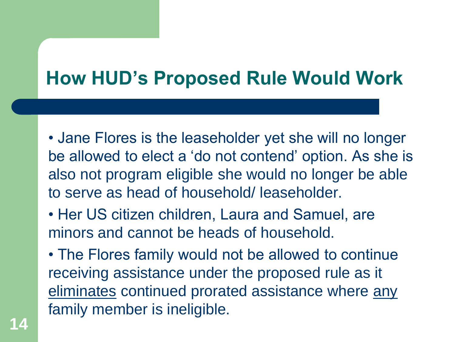### **How HUD's Proposed Rule Would Work**

• Jane Flores is the leaseholder yet she will no longer be allowed to elect a 'do not contend' option. As she is also not program eligible she would no longer be able to serve as head of household/ leaseholder.

- Her US citizen children, Laura and Samuel, are minors and cannot be heads of household.
- The Flores family would not be allowed to continue receiving assistance under the proposed rule as it eliminates continued prorated assistance where any family member is ineligible.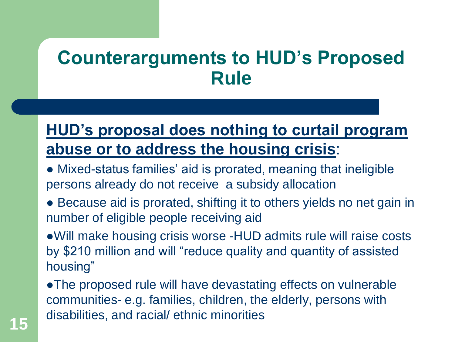### **Counterarguments to HUD's Proposed Rule**

### **HUD's proposal does nothing to curtail program abuse or to address the housing crisis**:

- Mixed-status families' aid is prorated, meaning that ineligible persons already do not receive a subsidy allocation
- Because aid is prorated, shifting it to others yields no net gain in number of eligible people receiving aid

●Will make housing crisis worse -HUD admits rule will raise costs by \$210 million and will "reduce quality and quantity of assisted housing"

●The proposed rule will have devastating effects on vulnerable communities- e.g. families, children, the elderly, persons with disabilities, and racial/ ethnic minorities **<sup>15</sup>**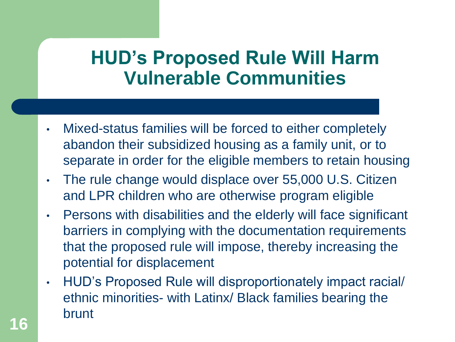### **HUD's Proposed Rule Will Harm Vulnerable Communities**

- Mixed-status families will be forced to either completely abandon their subsidized housing as a family unit, or to separate in order for the eligible members to retain housing
- The rule change would displace over 55,000 U.S. Citizen and LPR children who are otherwise program eligible
- Persons with disabilities and the elderly will face significant barriers in complying with the documentation requirements that the proposed rule will impose, thereby increasing the potential for displacement
- HUD's Proposed Rule will disproportionately impact racial/ ethnic minorities- with Latinx/ Black families bearing the **brunt**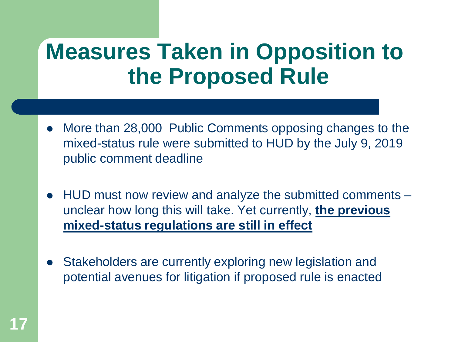## **Measures Taken in Opposition to the Proposed Rule**

- ⚫ More than 28,000 Public Comments opposing changes to the mixed-status rule were submitted to HUD by the July 9, 2019 public comment deadline
- ⚫ HUD must now review and analyze the submitted comments unclear how long this will take. Yet currently, **the previous mixed-status regulations are still in effect**
- ⚫ Stakeholders are currently exploring new legislation and potential avenues for litigation if proposed rule is enacted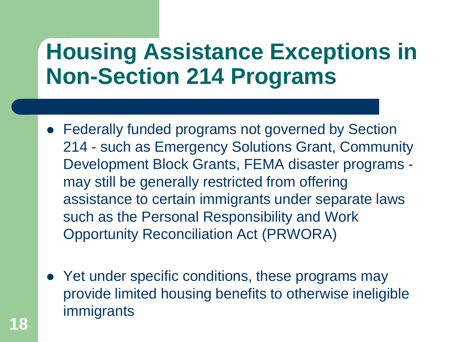## **Housing Assistance Exceptions in Non-Section 214 Programs**

- ⚫ Federally funded programs not governed by Section 214 - such as Emergency Solutions Grant, Community Development Block Grants, FEMA disaster programs may still be generally restricted from offering assistance to certain immigrants under separate laws such as the Personal Responsibility and Work Opportunity Reconciliation Act (PRWORA)
- Yet under specific conditions, these programs may provide limited housing benefits to otherwise ineligible immigrants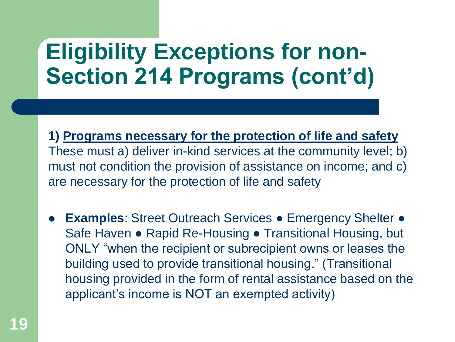## **Eligibility Exceptions for non-Section 214 Programs (cont'd)**

**1) Programs necessary for the protection of life and safety**  These must a) deliver in-kind services at the community level; b) must not condition the provision of assistance on income; and c) are necessary for the protection of life and safety

**Examples: Street Outreach Services ● Emergency Shelter ●** Safe Haven • Rapid Re-Housing • Transitional Housing, but ONLY "when the recipient or subrecipient owns or leases the building used to provide transitional housing." (Transitional housing provided in the form of rental assistance based on the applicant's income is NOT an exempted activity)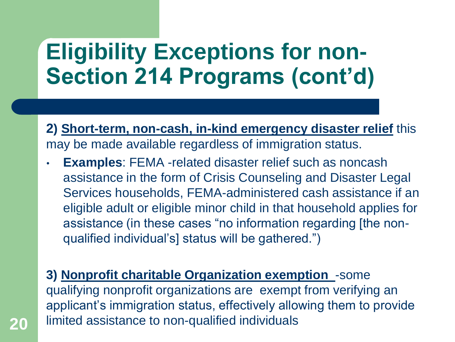## **Eligibility Exceptions for non-Section 214 Programs (cont'd)**

**2) Short-term, non-cash, in-kind emergency disaster relief** this may be made available regardless of immigration status.

- **Examples: FEMA -related disaster relief such as noncash** assistance in the form of Crisis Counseling and Disaster Legal Services households, FEMA-administered cash assistance if an eligible adult or eligible minor child in that household applies for assistance (in these cases "no information regarding [the nonqualified individual's] status will be gathered.")
- **3) Nonprofit charitable Organization exemption** -some qualifying nonprofit organizations are exempt from verifying an applicant's immigration status, effectively allowing them to provide 20 limited assistance to non-qualified individuals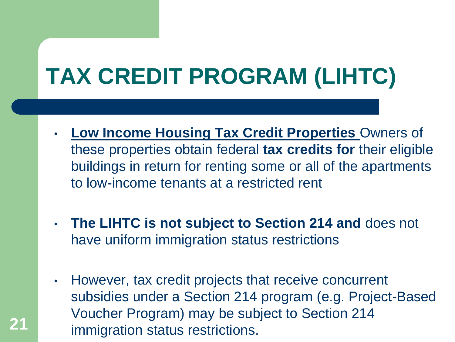# **TAX CREDIT PROGRAM (LIHTC)**

- **Low Income Housing Tax Credit Properties** Owners of these properties obtain federal **tax credits for** their eligible buildings in return for renting some or all of the apartments to low-income tenants at a restricted rent
- **The LIHTC is not subject to Section 214 and** does not have uniform immigration status restrictions
- However, tax credit projects that receive concurrent subsidies under a Section 214 program (e.g. Project-Based Voucher Program) may be subject to Section 214 immigration status restrictions. **21**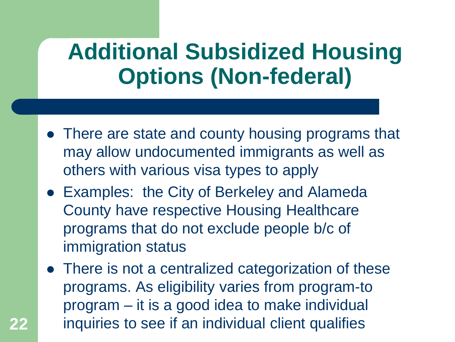## **Additional Subsidized Housing Options (Non-federal)**

- ⚫ There are state and county housing programs that may allow undocumented immigrants as well as others with various visa types to apply
- ⚫ Examples: the City of Berkeley and Alameda County have respective Housing Healthcare programs that do not exclude people b/c of immigration status
- There is not a centralized categorization of these programs. As eligibility varies from program-to program – it is a good idea to make individual **22** inquiries to see if an individual client qualifies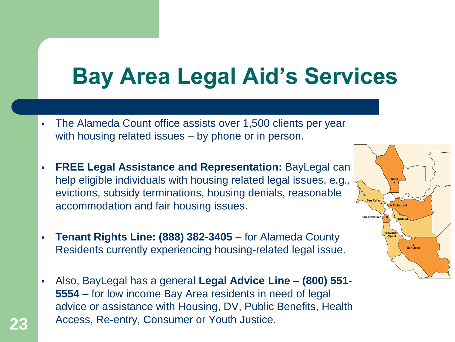## **Bay Area Legal Aid's Services**

- The Alameda Count office assists over 1,500 clients per year with housing related issues – by phone or in person.
- **FREE Legal Assistance and Representation:** BayLegal can help eligible individuals with housing related legal issues, e.g., evictions, subsidy terminations, housing denials, reasonable accommodation and fair housing issues.
- **Tenant Rights Line: (888) 382-3405** for Alameda County Residents currently experiencing housing-related legal issue.
- Also, BayLegal has a general **Legal Advice Line – (800) 551- 5554** – for low income Bay Area residents in need of legal advice or assistance with Housing, DV, Public Benefits, Health Access, Re-entry, Consumer or Youth Justice. **23**